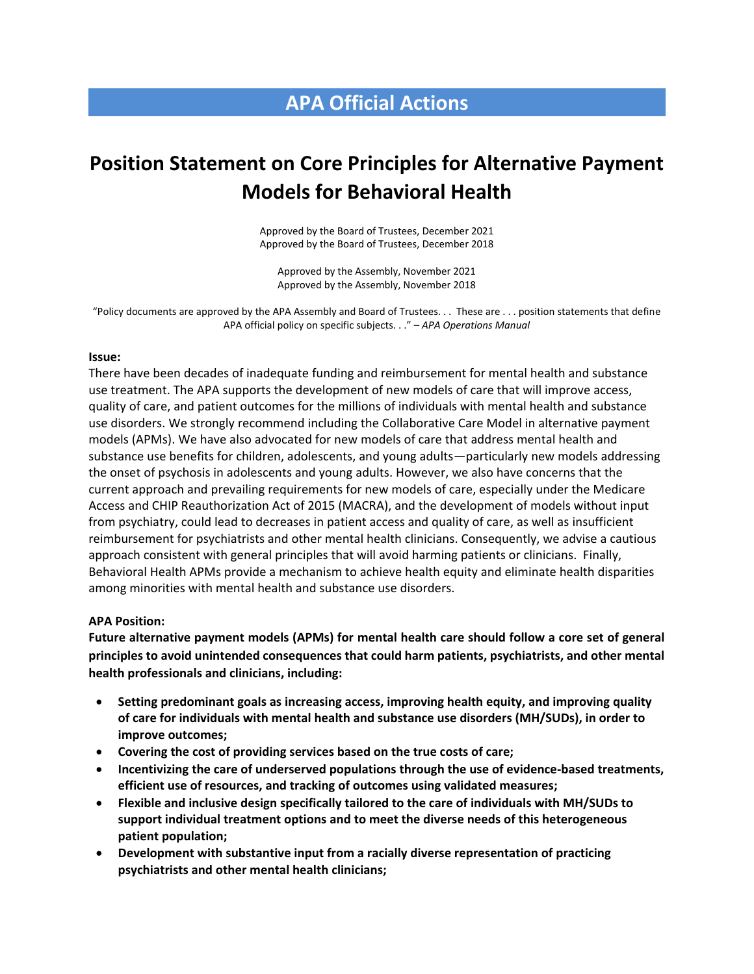# **APA Official Actions**

# **Position Statement on Core Principles for Alternative Payment Models for Behavioral Health**

Approved by the Board of Trustees, December 2021 Approved by the Board of Trustees, December 2018

Approved by the Assembly, November 2021 Approved by the Assembly, November 2018

"Policy documents are approved by the APA Assembly and Board of Trustees. . . These are . . . position statements that define APA official policy on specific subjects. . ." – *APA Operations Manual*

#### **Issue:**

There have been decades of inadequate funding and reimbursement for mental health and substance use treatment. The APA supports the development of new models of care that will improve access, quality of care, and patient outcomes for the millions of individuals with mental health and substance use disorders. We strongly recommend including the Collaborative Care Model in alternative payment models (APMs). We have also advocated for new models of care that address mental health and substance use benefits for children, adolescents, and young adults—particularly new models addressing the onset of psychosis in adolescents and young adults. However, we also have concerns that the current approach and prevailing requirements for new models of care, especially under the Medicare Access and CHIP Reauthorization Act of 2015 (MACRA), and the development of models without input from psychiatry, could lead to decreases in patient access and quality of care, as well as insufficient reimbursement for psychiatrists and other mental health clinicians. Consequently, we advise a cautious approach consistent with general principles that will avoid harming patients or clinicians. Finally, Behavioral Health APMs provide a mechanism to achieve health equity and eliminate health disparities among minorities with mental health and substance use disorders.

#### **APA Position:**

**Future alternative payment models (APMs) for mental health care should follow a core set of general principles to avoid unintended consequences that could harm patients, psychiatrists, and other mental health professionals and clinicians, including:**

- **Setting predominant goals as increasing access, improving health equity, and improving quality of care for individuals with mental health and substance use disorders (MH/SUDs), in order to improve outcomes;**
- **Covering the cost of providing services based on the true costs of care;**
- **Incentivizing the care of underserved populations through the use of evidence-based treatments, efficient use of resources, and tracking of outcomes using validated measures;**
- **Flexible and inclusive design specifically tailored to the care of individuals with MH/SUDs to support individual treatment options and to meet the diverse needs of this heterogeneous patient population;**
- **Development with substantive input from a racially diverse representation of practicing psychiatrists and other mental health clinicians;**